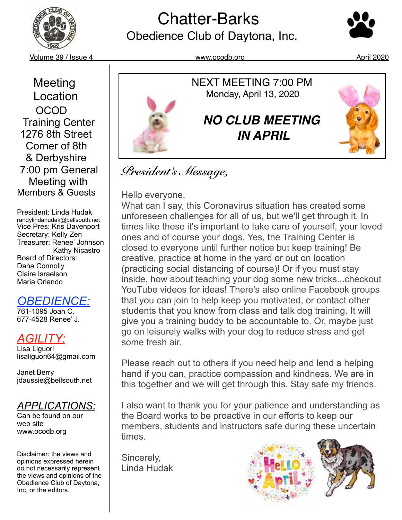

# **Chatter-Barks**<br>Obedience Club of Daytona, Inc.



Volume 39 / Issue 4 www.ocodb.org April 2020

 Meeting **Location**  OCOD Training Center 1276 8th Street Corner of 8th & Derbyshire 7:00 pm General Meeting with Members & Guests

President: Linda Hudak randylindahudak@bellsouth.net Vice Pres: Kris Davenport Secretary: Kelly Zen Treasurer: Renee' Johnson Kathy Nicastro Board of Directors: Dana Connolly Claire Israelson Maria Orlando

### *OBEDIENCE:*

761-1095 Joan C. 677-4528 Renee' J.

### *AGILITY:*

Lisa Liguori [lisaliguori64@gmail.com](mailto:lisaliguori64@gmail.com)

Janet Berry jdaussie@bellsouth.net

#### *APPLICATIONS:*

Can be found on our web site [www.ocodb.org](http://www.ocodb.org)

Disclaimer: the views and opinions expressed herein do not necessarily represent the views and opinions of the Obedience Club of Daytona, Inc. or the editors.



### *President's Message,*

Hello everyone,

What can I say, this Coronavirus situation has created some unforeseen challenges for all of us, but we'll get through it. In times like these it's important to take care of yourself, your loved ones and of course your dogs. Yes, the Training Center is closed to everyone until further notice but keep training! Be creative, practice at home in the yard or out on location (practicing social distancing of course)! Or if you must stay inside, how about teaching your dog some new tricks...checkout YouTube videos for ideas! There's also online Facebook groups that you can join to help keep you motivated, or contact other students that you know from class and talk dog training. It will give you a training buddy to be accountable to. Or, maybe just go on leisurely walks with your dog to reduce stress and get some fresh air.

Please reach out to others if you need help and lend a helping hand if you can, practice compassion and kindness. We are in this together and we will get through this. Stay safe my friends.

I also want to thank you for your patience and understanding as the Board works to be proactive in our efforts to keep our members, students and instructors safe during these uncertain times.

Sincerely, Linda Hudak

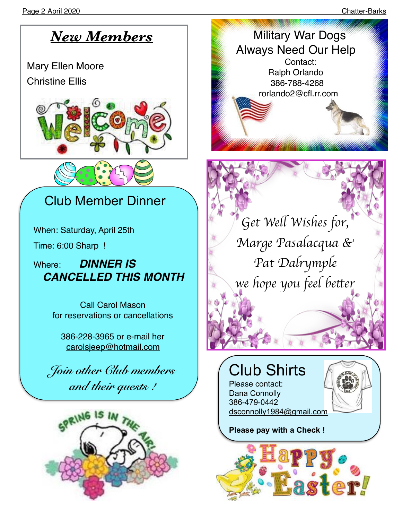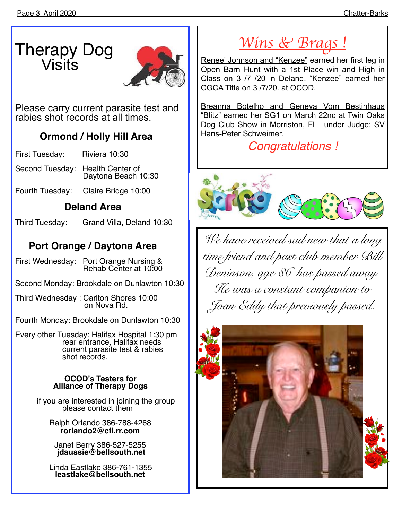## Therapy Dog Visits



Please carry current parasite test and rabies shot records at all times.

# **Ormond / Holly Hill Area**

First Tuesday:

- Second Tuesday: Health Center of Daytona Beach 10:30
- Fourth Tuesday: Claire Bridge 10:00

### **Deland Area**

Third Tuesday: Grand Villa, Deland 10:30

### **Port Orange / Daytona Area**

First Wednesday: Port Orange Nursing & Rehab Center at 10:00

Second Monday: Brookdale on Dunlawton 10:30

Third Wednesday : Carlton Shores 10:00 on Nova Rd.

Fourth Monday: Brookdale on Dunlawton 10:30

Every other Tuesday: Halifax Hospital 1:30 pm rear entrance, Halifax needs current parasite test & rabies shot records.

#### **OCOD's Testers for Alliance of Therapy Dogs**

if you are interested in joining the group please contact them

Ralph Orlando 386-788-4268<br>rorlando2@cfl.rr.com

**[rorlando2@cfl.rr.com](mailto:rorlando2@cfl.rr.com)** [Janet Berry 386-527-5255](mailto:jdaussie@bellsouth.net) **jdaussie@bellsouth.net**

Linda Eastlake 386-761-1355 **[leastlake@bellsouth.net](mailto:leastlake@bellsouth.net)**

## *Wins & Brags !*

Renee' Johnson and "Kenzee" earned her first leg in Open Barn Hunt with a 1st Place win and High in Class on 3 /7 /20 in Deland. "Kenzee" earned her CGCA Title on 3 /7/20. at OCOD.

Breanna Botelho and Geneva Vom Bestinhaus "Blitz" earned her SG1 on March 22nd at Twin Oaks Dog Club Show in Morriston, FL under Judge: SV Hans-Peter Schweimer.

*Congratulations !*



*We have received sad new that a long time friend and past club member Bill Deninson, age 86 has passed away. He was a constant companion to Joan Eddy that previously passed.* 

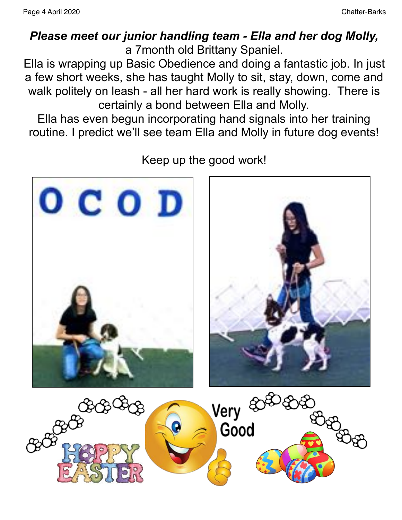### *Please meet our junior handling team - Ella and her dog Molly,*  a 7month old Brittany Spaniel.

Ella is wrapping up Basic Obedience and doing a fantastic job. In just a few short weeks, she has taught Molly to sit, stay, down, come and walk politely on leash - all her hard work is really showing. There is certainly a bond between Ella and Molly.

Ella has even begun incorporating hand signals into her training routine. I predict we'll see team Ella and Molly in future dog events!



Keep up the good work!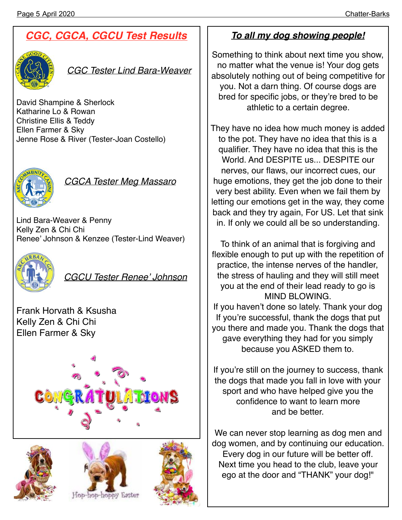### *CGC, CGCA, CGCU Test Results*



*CGC Tester Lind Bara-Weaver*

David Shampine & Sherlock Katharine Lo & Rowan Christine Ellis & Teddy Ellen Farmer & Sky Jenne Rose & River (Tester-Joan Costello)



*CGCA Tester Meg Massaro*

Lind Bara-Weaver & Penny Kelly Zen & Chi Chi Renee' Johnson & Kenzee (Tester-Lind Weaver)



*CGCU Tester Renee' Johnson*

Frank Horvath & Ksusha Kelly Zen & Chi Chi Ellen Farmer & Sky









#### *To all my dog showing people!*

Something to think about next time you show, no matter what the venue is! Your dog gets absolutely nothing out of being competitive for you. Not a darn thing. Of course dogs are bred for specific jobs, or they're bred to be athletic to a certain degree.

They have no idea how much money is added to the pot. They have no idea that this is a qualifier. They have no idea that this is the World. And DESPITE us... DESPITE our nerves, our flaws, our incorrect cues, our huge emotions, they get the job done to their very best ability. Even when we fail them by letting our emotions get in the way, they come back and they try again, For US. Let that sink in. If only we could all be so understanding.

To think of an animal that is forgiving and flexible enough to put up with the repetition of practice, the intense nerves of the handler, the stress of hauling and they will still meet you at the end of their lead ready to go is MIND BLOWING.

If you haven't done so lately. Thank your dog If you're successful, thank the dogs that put you there and made you. Thank the dogs that gave everything they had for you simply because you ASKED them to.

If you're still on the journey to success, thank the dogs that made you fall in love with your sport and who have helped give you the confidence to want to learn more and be better.

We can never stop learning as dog men and dog women, and by continuing our education. Every dog in our future will be better off. Next time you head to the club, leave your ego at the door and "THANK" your dog!"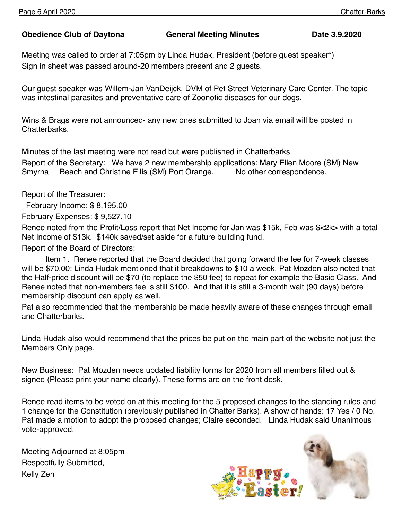#### **Obedience Club of Daytona General Meeting Minutes Date 3.9.2020**

Meeting was called to order at 7:05pm by Linda Hudak, President (before guest speaker\*) Sign in sheet was passed around-20 members present and 2 guests.

Our guest speaker was Willem-Jan VanDeijck, DVM of Pet Street Veterinary Care Center. The topic was intestinal parasites and preventative care of Zoonotic diseases for our dogs.

Wins & Brags were not announced- any new ones submitted to Joan via email will be posted in Chatterbarks.

Minutes of the last meeting were not read but were published in Chatterbarks Report of the Secretary: We have 2 new membership applications: Mary Ellen Moore (SM) New Smyrna Beach and Christine Ellis (SM) Port Orange. No other correspondence.

Report of the Treasurer:

February Income: \$ 8,195.00

February Expenses: \$ 9,527.10

Renee noted from the Profit/Loss report that Net Income for Jan was \$15k, Feb was \$<2k> with a total Net Income of \$13k. \$140k saved/set aside for a future building fund.

Report of the Board of Directors:

Item 1. Renee reported that the Board decided that going forward the fee for 7-week classes will be \$70.00; Linda Hudak mentioned that it breakdowns to \$10 a week. Pat Mozden also noted that the Half-price discount will be \$70 (to replace the \$50 fee) to repeat for example the Basic Class. And Renee noted that non-members fee is still \$100. And that it is still a 3-month wait (90 days) before membership discount can apply as well.

Pat also recommended that the membership be made heavily aware of these changes through email and Chatterbarks.

Linda Hudak also would recommend that the prices be put on the main part of the website not just the Members Only page.

New Business: Pat Mozden needs updated liability forms for 2020 from all members filled out & signed (Please print your name clearly). These forms are on the front desk.

Renee read items to be voted on at this meeting for the 5 proposed changes to the standing rules and 1 change for the Constitution (previously published in Chatter Barks). A show of hands: 17 Yes / 0 No. Pat made a motion to adopt the proposed changes; Claire seconded. Linda Hudak said Unanimous vote-approved.

Meeting Adjourned at 8:05pm Respectfully Submitted, Kelly Zen

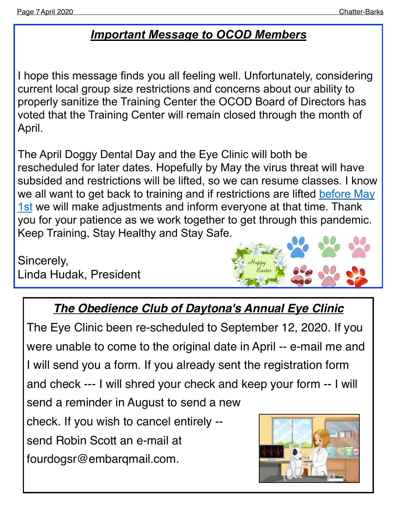### *Important Message to OCOD Members*

I hope this message finds you all feeling well. Unfortunately, considering current local group size restrictions and concerns about our ability to properly sanitize the Training Center the OCOD Board of Directors has voted that the Training Center will remain closed through the month of April.

The April Doggy Dental Day and the Eye Clinic will both be rescheduled for later dates. Hopefully by May the virus threat will have subsided and restrictions will be lifted, so we can resume classes. I know we all want to get back to training and if restrictions are lifted before May [1st](x-apple-data-detectors://0) we will make adjustments and inform everyone at that time. Thank you for your patience as we work together to get through this pandemic. Keep Training, Stay Healthy and Stay Safe.

Sincerely, Linda Hudak, President



### *The Obedience Club of Daytona's Annual Eye Clinic*

The Eye Clinic been re-scheduled to September 12, 2020. If you were unable to come to the original date in April -- e-mail me and I will send you a form. If you already sent the registration form and check --- I will shred your check and keep your form -- I will send a reminder in August to send a new check. If you wish to cancel entirely - send Robin Scott an e-mail at fourdogsr@embarqmail.com.